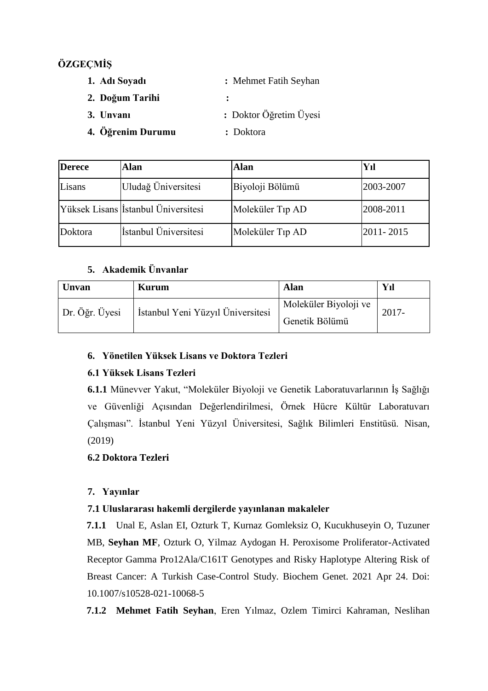## **ÖZGEÇMİŞ**

- **1. Adı Soyadı :** Mehmet Fatih Seyhan
- **2. Doğum Tarihi :**
- **3. Unvanı :** Doktor Öğretim Üyesi
- **4. Öğrenim Durumu :** Doktora
	-

| <b>Derece</b> | Alan                                       | Alan                         | Yıl       |
|---------------|--------------------------------------------|------------------------------|-----------|
| Lisans        | Uludağ Üniversitesi                        | Biyoloji Bölümü              | 2003-2007 |
|               | Yüksek Lisans <i>İstanbul Üniversitesi</i> | Moleküler T <sub>1p</sub> AD | 2008-2011 |
| Doktora       | İstanbul Üniversitesi                      | Moleküler T <sub>1p</sub> AD | 2011-2015 |

## **5. Akademik Ünvanlar**

| Unvan          | Kurum                             | Alan                                    | Yıl      |
|----------------|-----------------------------------|-----------------------------------------|----------|
| Dr. Öğr. Üyesi | İstanbul Yeni Yüzyıl Üniversitesi | Moleküler Biyoloji ve<br>Genetik Bölümü | $2017 -$ |

## **6. Yönetilen Yüksek Lisans ve Doktora Tezleri**

## **6.1 Yüksek Lisans Tezleri**

**6.1.1** Münevver Yakut, "Moleküler Biyoloji ve Genetik Laboratuvarlarının İş Sağlığı ve Güvenliği Açısından Değerlendirilmesi, Örnek Hücre Kültür Laboratuvarı Çalışması". İstanbul Yeni Yüzyıl Üniversitesi, Sağlık Bilimleri Enstitüsü. Nisan, (2019)

## **6.2 Doktora Tezleri**

## **7. Yayınlar**

## **7.1 Uluslararası hakemli dergilerde yayınlanan makaleler**

**7.1.1** Unal E, Aslan EI, Ozturk T, Kurnaz Gomleksiz O, Kucukhuseyin O, Tuzuner MB, **Seyhan MF**, Ozturk O, Yilmaz Aydogan H. Peroxisome Proliferator-Activated Receptor Gamma Pro12Ala/C161T Genotypes and Risky Haplotype Altering Risk of Breast Cancer: A Turkish Case-Control Study. Biochem Genet. 2021 Apr 24. Doi: 10.1007/s10528-021-10068-5

**7.1.2 Mehmet Fatih Seyhan**, Eren Yılmaz, Ozlem Timirci Kahraman, Neslihan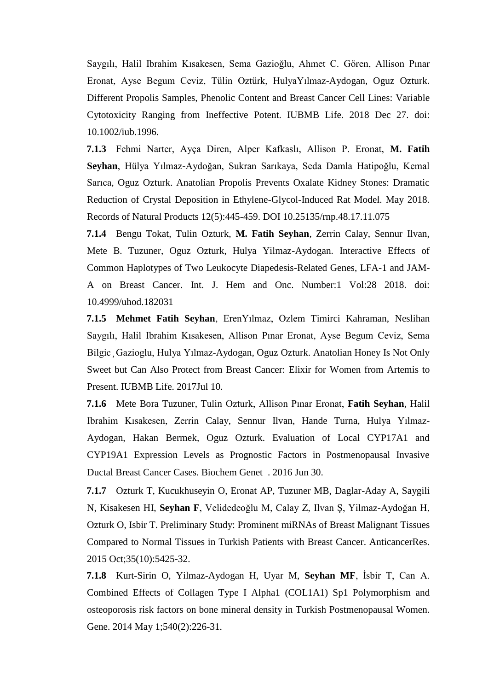Saygılı, Halil Ibrahim Kısakesen, Sema Gazioğlu, Ahmet C. Gören, Allison Pınar Eronat, Ayse Begum Ceviz, Tülin Oztürk, HulyaYılmaz-Aydogan, Oguz Ozturk. Different Propolis Samples, Phenolic Content and Breast Cancer Cell Lines: Variable Cytotoxicity Ranging from Ineffective Potent. IUBMB Life. 2018 Dec 27. doi: 10.1002/iub.1996.

**7.1.3** Fehmi Narter, Ayça Diren, Alper Kafkaslı, Allison P. Eronat, **M. Fatih Seyhan**, Hülya Yılmaz-Aydoğan, Sukran Sarıkaya, Seda Damla Hatipoğlu, Kemal Sarıca, Oguz Ozturk. Anatolian Propolis Prevents Oxalate Kidney Stones: Dramatic Reduction of Crystal Deposition in Ethylene-Glycol-Induced Rat Model. May 2018. Records of Natural Products 12(5):445-459. DOI 10.25135/rnp.48.17.11.075

**7.1.4** Bengu Tokat, Tulin Ozturk, **M. Fatih Seyhan**, Zerrin Calay, Sennur Ilvan, Mete B. Tuzuner, Oguz Ozturk, Hulya Yilmaz-Aydogan. Interactive Effects of Common Haplotypes of Two Leukocyte Diapedesis-Related Genes, LFA-1 and JAM-A on Breast Cancer. Int. J. Hem and Onc. Number:1 Vol:28 2018. doi: 10.4999/uhod.182031

**7.1.5 Mehmet Fatih Seyhan**, ErenYılmaz, Ozlem Timirci Kahraman, Neslihan Saygılı, Halil Ibrahim Kısakesen, Allison Pınar Eronat, Ayse Begum Ceviz, Sema Bilgic Gazioglu, Hulya Yılmaz-Aydogan, Oguz Ozturk. Anatolian Honey Is Not Only Sweet but Can Also Protect from Breast Cancer: Elixir for Women from Artemis to Present. IUBMB Life. 2017Jul 10.

**7.1.6** Mete Bora Tuzuner, Tulin Ozturk, Allison Pınar Eronat, **Fatih Seyhan**, Halil Ibrahim Kısakesen, Zerrin Calay, Sennur Ilvan, Hande Turna, Hulya Yılmaz-Aydogan, Hakan Bermek, Oguz Ozturk. Evaluation of Local CYP17A1 and CYP19A1 Expression Levels as Prognostic Factors in Postmenopausal Invasive Ductal Breast Cancer Cases. Biochem Genet . 2016 Jun 30.

**7.1.7** Ozturk T, Kucukhuseyin O, Eronat AP, Tuzuner MB, Daglar-Aday A, Saygili N, Kisakesen HI, **Seyhan F**, Velidedeoğlu M, Calay Z, Ilvan Ş, Yilmaz-Aydoğan H, Ozturk O, Isbir T. Preliminary Study: Prominent miRNAs of Breast Malignant Tissues Compared to Normal Tissues in Turkish Patients with Breast Cancer. AnticancerRes. 2015 Oct;35(10):5425-32.

**7.1.8** Kurt-Sirin O, Yilmaz-Aydogan H, Uyar M, **Seyhan MF**, İsbir T, Can A. Combined Effects of Collagen Type I Alpha1 (COL1A1) Sp1 Polymorphism and osteoporosis risk factors on bone mineral density in Turkish Postmenopausal Women. Gene. 2014 May 1;540(2):226-31.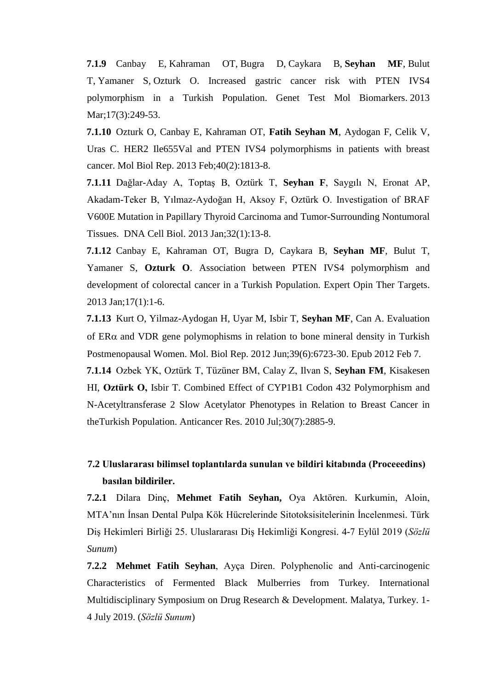**7.1.9** Canbay E, Kahraman OT, Bugra D, Caykara B, **Seyhan MF**, Bulut T, Yamaner S, Ozturk O. Increased gastric cancer risk with PTEN IVS4 polymorphism in a Turkish Population. Genet Test Mol Biomarkers. 2013 Mar;17(3):249-53.

**7.1.10** Ozturk O, Canbay E, Kahraman OT, **Fatih Seyhan M**, Aydogan F, Celik V, Uras C. HER2 Ile655Val and PTEN IVS4 polymorphisms in patients with breast cancer. Mol Biol Rep. 2013 Feb;40(2):1813-8.

**7.1.11** Dağlar-Aday A, Toptaş B, Oztürk T, **Seyhan F**, Saygılı N, Eronat AP, Akadam-Teker B, Yılmaz-Aydoğan H, Aksoy F, Oztürk O. Investigation of BRAF V600E Mutation in Papillary Thyroid Carcinoma and Tumor-Surrounding Nontumoral Tissues. DNA Cell Biol. 2013 Jan;32(1):13-8.

**7.1.12** Canbay E, Kahraman OT, [Bugra D,](http://www.ncbi.nlm.nih.gov/pubmed?term=Bugra%20D%5BAuthor%5D&cauthor=true&cauthor_uid=23062208) [Caykara B,](http://www.ncbi.nlm.nih.gov/pubmed?term=Caykara%20B%5BAuthor%5D&cauthor=true&cauthor_uid=23062208) **[Seyhan MF](http://www.ncbi.nlm.nih.gov/pubmed?term=Seyhan%20MF%5BAuthor%5D&cauthor=true&cauthor_uid=23062208)**, [Bulut T,](http://www.ncbi.nlm.nih.gov/pubmed?term=Bulut%20T%5BAuthor%5D&cauthor=true&cauthor_uid=23062208) Yamaner S, **[Ozturk O](http://www.ncbi.nlm.nih.gov/pubmed?term=Ozturk%20O%5BAuthor%5D&cauthor=true&cauthor_uid=23062208)**. Association between PTEN IVS4 polymorphism and development of colorectal cancer in a Turkish Population. Expert Opin Ther [Targets.](http://www.ncbi.nlm.nih.gov/pubmed/23062208) 2013 Jan;17(1):1-6.

**7.1.13** Kurt O, Yilmaz-Aydogan H, Uyar M, Isbir T, **Seyhan MF**, Can A. Evaluation of  $ER\alpha$  and VDR gene polymophisms in relation to bone mineral density in Turkish Postmenopausal Women. Mol. Biol Rep. 2012 Jun;39(6):6723-30. Epub 2012 Feb 7.

**7.1.14** Ozbek YK, Oztürk T, Tüzüner BM, Calay Z, Ilvan S, **Seyhan FM**, Kisakesen HI, **Oztürk O,** Isbir T. Combined Effect of CYP1B1 Codon 432 Polymorphism and N-Acetyltransferase 2 Slow Acetylator Phenotypes in Relation to Breast Cancer in theTurkish Population. Anticancer Res. 2010 Jul;30(7):2885-9.

## **7.2 Uluslararası bilimsel toplantılarda sunulan ve bildiri kitabında (Proceeedins) basılan bildiriler.**

**7.2.1** Dilara Dinç, **Mehmet Fatih Seyhan,** Oya Aktören. Kurkumin, Aloin, MTA'nın İnsan Dental Pulpa Kök Hücrelerinde Sitotoksisitelerinin İncelenmesi. Türk Diş Hekimleri Birliği 25. Uluslararası Diş Hekimliği Kongresi. 4-7 Eylül 2019 (*Sözlü Sunum*)

**7.2.2 Mehmet Fatih Seyhan**, Ayça Diren. Polyphenolic and Anti-carcinogenic Characteristics of Fermented Black Mulberries from Turkey. International Multidisciplinary Symposium on Drug Research & Development. Malatya, Turkey. 1- 4 July 2019. (*Sözlü Sunum*)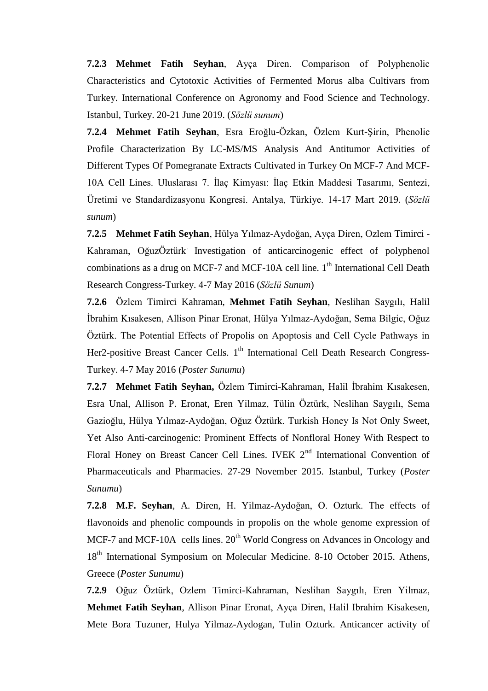**7.2.3 Mehmet Fatih Seyhan**, Ayça Diren. Comparison of Polyphenolic Characteristics and Cytotoxic Activities of Fermented Morus alba Cultivars from Turkey. International Conference on Agronomy and Food Science and Technology. Istanbul, Turkey. 20-21 June 2019. (*Sözlü sunum*)

**7.2.4 Mehmet Fatih Seyhan**, Esra Eroğlu-Özkan, Özlem Kurt-Şirin, Phenolic Profile Characterization By LC-MS/MS Analysis And Antitumor Activities of Different Types Of Pomegranate Extracts Cultivated in Turkey On MCF-7 And MCF-10A Cell Lines. Uluslarası 7. İlaç Kimyası: İlaç Etkin Maddesi Tasarımı, Sentezi, Üretimi ve Standardizasyonu Kongresi. Antalya, Türkiye. 14-17 Mart 2019. (*Sözlü sunum*)

**7.2.5 Mehmet Fatih Seyhan**, Hülya Yılmaz-Aydoğan, Ayça Diren, Ozlem Timirci - Kahraman, OğuzÖztürk. Investigation of anticarcinogenic effect of polyphenol combinations as a drug on MCF-7 and MCF-10A cell line.  $1<sup>th</sup>$  International Cell Death Research Congress-Turkey. 4-7 May 2016 (*Sözlü Sunum*)

**7.2.6** Özlem Timirci Kahraman, **Mehmet Fatih Seyhan**, Neslihan Saygılı, Halil İbrahim Kısakesen, Allison Pinar Eronat, Hülya Yılmaz-Aydoğan, Sema Bilgic, Oğuz Öztürk. The Potential Effects of Propolis on Apoptosis and Cell Cycle Pathways in Her2-positive Breast Cancer Cells. 1<sup>th</sup> International Cell Death Research Congress-Turkey. 4-7 May 2016 (*Poster Sunumu*)

**7.2.7 Mehmet Fatih Seyhan,** Özlem Timirci-Kahraman, Halil İbrahim Kısakesen, Esra Unal, Allison P. Eronat, Eren Yilmaz, Tülin Öztürk, Neslihan Saygılı, Sema Gazioğlu, Hülya Yılmaz-Aydoğan, Oğuz Öztürk. Turkish Honey Is Not Only Sweet, Yet Also Anti-carcinogenic: Prominent Effects of Nonfloral Honey With Respect to Floral Honey on Breast Cancer Cell Lines. IVEK 2<sup>nd</sup> International Convention of Pharmaceuticals and Pharmacies. 27-29 November 2015. Istanbul, Turkey (*Poster Sunumu*)

**7.2.8 M.F. Seyhan**, A. Diren, H. Yilmaz-Aydoğan, O. Ozturk. The effects of flavonoids and phenolic compounds in propolis on the whole genome expression of MCF-7 and MCF-10A cells lines.  $20<sup>th</sup>$  World Congress on Advances in Oncology and 18<sup>th</sup> International Symposium on Molecular Medicine. 8-10 October 2015. Athens, Greece (*Poster Sunumu*)

**7.2.9** Oğuz Öztürk, Ozlem Timirci-Kahraman, Neslihan Saygılı, Eren Yilmaz, **Mehmet Fatih Seyhan**, Allison Pinar Eronat, Ayça Diren, Halil Ibrahim Kisakesen, Mete Bora Tuzuner, Hulya Yilmaz-Aydogan, Tulin Ozturk. Anticancer activity of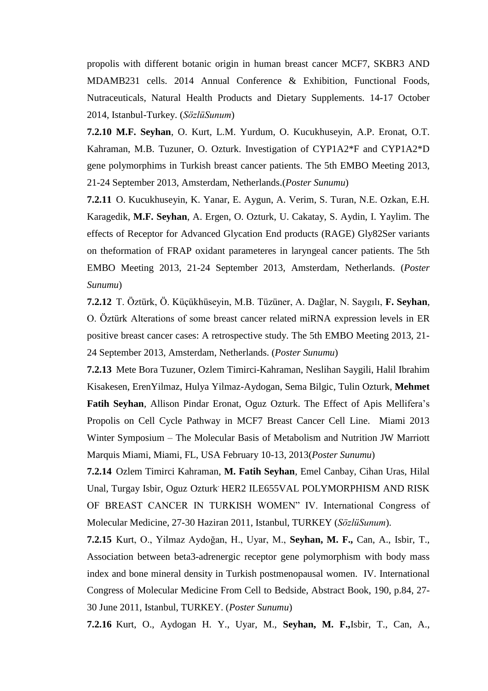propolis with different botanic origin in human breast cancer MCF7, SKBR3 AND MDAMB231 cells. 2014 Annual Conference & Exhibition, Functional Foods, Nutraceuticals, Natural Health Products and Dietary Supplements. 14-17 October 2014, Istanbul-Turkey. (*SözlüSunum*)

**7.2.10 M.F. Seyhan**, O. Kurt, L.M. Yurdum, O. Kucukhuseyin, A.P. Eronat, O.T. Kahraman, M.B. Tuzuner, O. Ozturk. Investigation of CYP1A2\*F and CYP1A2\*D gene polymorphims in Turkish breast cancer patients. The 5th EMBO Meeting 2013, 21-24 September 2013, Amsterdam, Netherlands.(*Poster Sunumu*)

**7.2.11** O. Kucukhuseyin, K. Yanar, E. Aygun, A. Verim, S. Turan, N.E. Ozkan, E.H. Karagedik, **M.F. Seyhan**, A. Ergen, O. Ozturk, U. Cakatay, S. Aydin, I. Yaylim. The effects of Receptor for Advanced Glycation End products (RAGE) Gly82Ser variants on theformation of FRAP oxidant parameteres in laryngeal cancer patients. The 5th EMBO Meeting 2013, 21-24 September 2013, Amsterdam, Netherlands. (*Poster Sunumu*)

**7.2.12** T. Öztürk, Ö. Küçükhüseyin, M.B. Tüzüner, A. Dağlar, N. Saygılı, F. Seyhan, O. Öztürk Alterations of some breast cancer related miRNA expression levels in ER positive breast cancer cases: A retrospective study. The 5th EMBO Meeting 2013, 21- 24 September 2013, Amsterdam, Netherlands. (*Poster Sunumu*)

**7.2.13** Mete Bora Tuzuner, Ozlem Timirci-Kahraman, Neslihan Saygili, Halil Ibrahim Kisakesen, ErenYilmaz, Hulya Yilmaz-Aydogan, Sema Bilgic, Tulin Ozturk, **Mehmet Fatih Seyhan**, Allison Pindar Eronat, Oguz Ozturk. The Effect of Apis Mellifera's Propolis on Cell Cycle Pathway in MCF7 Breast Cancer Cell Line. Miami 2013 Winter Symposium – The Molecular Basis of Metabolism and Nutrition JW Marriott Marquis Miami, Miami, FL, USA February 10-13, 2013(*Poster Sunumu*)

**7.2.14** Ozlem Timirci Kahraman, **M. Fatih Seyhan**, Emel Canbay, Cihan Uras, Hilal Unal, Turgay Isbir, Oguz Ozturk. HER2 ILE655VAL POLYMORPHISM AND RISK OF BREAST CANCER IN TURKISH WOMEN" IV. International Congress of Molecular Medicine, 27-30 Haziran 2011, Istanbul, TURKEY (*SözlüSunum*).

**7.2.15** Kurt, O., Yilmaz Aydoğan, H., Uyar, M., **Seyhan, M. F.,** Can, A., Isbir, T., Association between beta3-adrenergic receptor gene polymorphism with body mass index and bone mineral density in Turkish postmenopausal women. IV. International Congress of Molecular Medicine From Cell to Bedside, Abstract Book, 190, p.84, 27- 30 June 2011, Istanbul, TURKEY. (*Poster Sunumu*)

**7.2.16** Kurt, O., Aydogan H. Y., Uyar, M., **Seyhan, M. F.,**Isbir, T., Can, A.,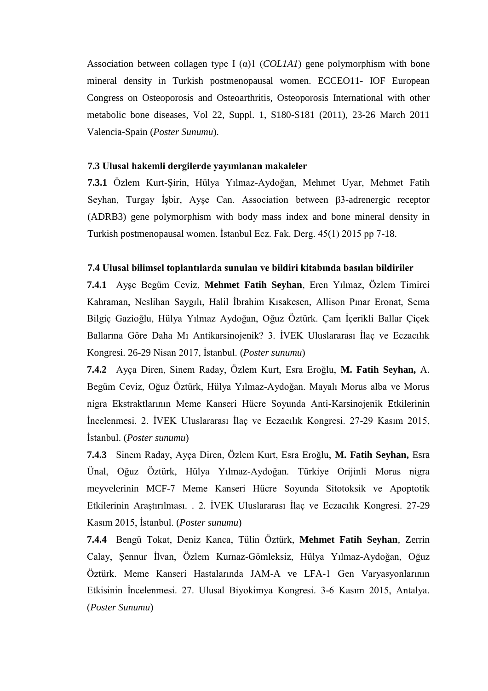Association between collagen type I  $(\alpha)$ 1 (*COL1A1*) gene polymorphism with bone mineral density in Turkish postmenopausal women. ECCEO11- IOF European Congress on Osteoporosis and Osteoarthritis, Osteoporosis International with other metabolic bone diseases, Vol 22, Suppl. 1, S180-S181 (2011), 23-26 March 2011 Valencia-Spain (*Poster Sunumu*).

#### **7.3 Ulusal hakemli dergilerde yayımlanan makaleler**

**7.3.1** Özlem Kurt-Şirin, Hülya Yılmaz-Aydoğan, Mehmet Uyar, Mehmet Fatih Seyhan, Turgay İşbir, Ayşe Can. Association between β3-adrenergic receptor (ADRB3) gene polymorphism with body mass index and bone mineral density in Turkish postmenopausal women. İstanbul Ecz. Fak. Derg. 45(1) 2015 pp 7-18.

#### **7.4 Ulusal bilimsel toplantılarda sunulan ve bildiri kitabında basılan bildiriler**

**7.4.1** Ayşe Begüm Ceviz, **Mehmet Fatih Seyhan**, Eren Yılmaz, Özlem Timirci Kahraman, Neslihan Saygılı, Halil İbrahim Kısakesen, Allison Pınar Eronat, Sema Bilgiç Gazioğlu, Hülya Yılmaz Aydoğan, Oğuz Öztürk. Çam İçerikli Ballar Çiçek Ballarına Göre Daha Mı Antikarsinojenik? 3. İVEK Uluslararası İlaç ve Eczacılık Kongresi. 26-29 Nisan 2017, İstanbul. (*Poster sunumu*)

**7.4.2** Ayça Diren, Sinem Raday, Özlem Kurt, Esra Eroğlu, **M. Fatih Seyhan,** A. Begüm Ceviz, Oğuz Öztürk, Hülya Yılmaz-Aydoğan. Mayalı Morus alba ve Morus nigra Ekstraktlarının Meme Kanseri Hücre Soyunda Anti-Karsinojenik Etkilerinin İncelenmesi. 2. İVEK Uluslararası İlaç ve Eczacılık Kongresi. 27-29 Kasım 2015, İstanbul. (*Poster sunumu*)

**7.4.3** Sinem Raday, Ayça Diren, Özlem Kurt, Esra Eroğlu, **M. Fatih Seyhan,** Esra Ünal, Oğuz Öztürk, Hülya Yılmaz-Aydoğan. Türkiye Orijinli Morus nigra meyvelerinin MCF-7 Meme Kanseri Hücre Soyunda Sitotoksik ve Apoptotik Etkilerinin Araştırılması. . 2. İVEK Uluslararası İlaç ve Eczacılık Kongresi. 27-29 Kasım 2015, İstanbul. (*Poster sunumu*)

**7.4.4** Bengü Tokat, Deniz Kanca, Tülin Öztürk, **Mehmet Fatih Seyhan**, Zerrin Calay, Şennur İlvan, Özlem Kurnaz-Gömleksiz, Hülya Yılmaz-Aydoğan, Oğuz Öztürk. Meme Kanseri Hastalarında JAM-A ve LFA-1 Gen Varyasyonlarının Etkisinin İncelenmesi. 27. Ulusal Biyokimya Kongresi. 3-6 Kasım 2015, Antalya. (*Poster Sunumu*)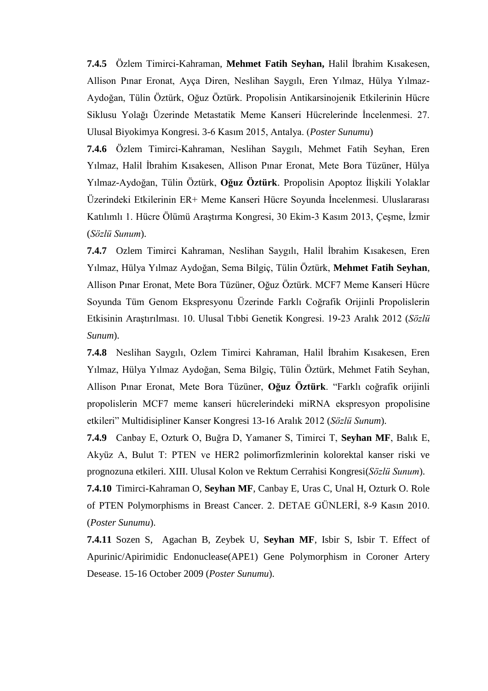**7.4.5** Özlem Timirci-Kahraman, **Mehmet Fatih Seyhan,** Halil İbrahim Kısakesen, Allison Pınar Eronat, Ayça Diren, Neslihan Saygılı, Eren Yılmaz, Hülya Yılmaz-Aydoğan, Tülin Öztürk, Oğuz Öztürk. Propolisin Antikarsinojenik Etkilerinin Hücre Siklusu Yolağı Üzerinde Metastatik Meme Kanseri Hücrelerinde İncelenmesi. 27. Ulusal Biyokimya Kongresi. 3-6 Kasım 2015, Antalya. (*Poster Sunumu*)

**7.4.6** Özlem Timirci-Kahraman, Neslihan Saygılı, Mehmet Fatih Seyhan, Eren Yılmaz, Halil İbrahim Kısakesen, Allison Pınar Eronat, Mete Bora Tüzüner, Hülya Yılmaz-Aydoğan, Tülin Öztürk, **Oğuz Öztürk**. Propolisin Apoptoz İlişkili Yolaklar Üzerindeki Etkilerinin ER+ Meme Kanseri Hücre Soyunda İncelenmesi. Uluslararası Katılımlı 1. Hücre Ölümü Araştırma Kongresi, 30 Ekim-3 Kasım 2013, Çeşme, İzmir (*Sözlü Sunum*).

**7.4.7** Ozlem Timirci Kahraman, Neslihan Saygılı, Halil İbrahim Kısakesen, Eren Yılmaz, Hülya Yılmaz Aydoğan, Sema Bilgiç, Tülin Öztürk, **Mehmet Fatih Seyhan**, Allison Pınar Eronat, Mete Bora Tüzüner, Oğuz Öztürk. MCF7 Meme Kanseri Hücre Soyunda Tüm Genom Ekspresyonu Üzerinde Farklı Coğrafik Orijinli Propolislerin Etkisinin Araştırılması. 10. Ulusal Tıbbi Genetik Kongresi. 19-23 Aralık 2012 (*Sözlü Sunum*).

**7.4.8** Neslihan Saygılı, Ozlem Timirci Kahraman, Halil İbrahim Kısakesen, Eren Yılmaz, Hülya Yılmaz Aydoğan, Sema Bilgiç, Tülin Öztürk, Mehmet Fatih Seyhan, Allison Pınar Eronat, Mete Bora Tüzüner, **Oğuz Öztürk**. "Farklı coğrafik orijinli propolislerin MCF7 meme kanseri hücrelerindeki miRNA ekspresyon propolisine etkileri" Multidisipliner Kanser Kongresi 13-16 Aralık 2012 (*Sözlü Sunum*).

**7.4.9** Canbay E, Ozturk O, Buğra D, Yamaner S, Timirci T, **Seyhan MF**, Balık E, Akyüz A, Bulut T: PTEN ve HER2 polimorfizmlerinin kolorektal kanser riski ve prognozuna etkileri. XIII. Ulusal Kolon ve Rektum Cerrahisi Kongresi(*Sözlü Sunum*).

**7.4.10** Timirci-Kahraman O, **Seyhan MF**, Canbay E, Uras C, Unal H, Ozturk O. Role of PTEN Polymorphisms in Breast Cancer. 2. DETAE GÜNLERİ, 8-9 Kasın 2010. (*Poster Sunumu*).

**7.4.11** Sozen S, Agachan B, Zeybek U, **Seyhan MF**, Isbir S, Isbir T. Effect of Apurinic/Apirimidic Endonuclease(APE1) Gene Polymorphism in Coroner Artery Desease. 15-16 October 2009 (*Poster Sunumu*).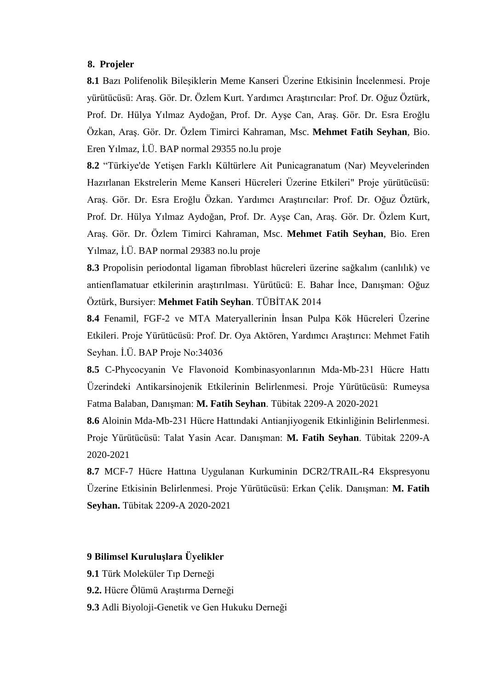#### **8. Projeler**

**8.1** Bazı Polifenolik Bileşiklerin Meme Kanseri Üzerine Etkisinin İncelenmesi. Proje yürütücüsü: Araş. Gör. Dr. Özlem Kurt. Yardımcı Araştırıcılar: Prof. Dr. Oğuz Öztürk, Prof. Dr. Hülya Yılmaz Aydoğan, Prof. Dr. Ayşe Can, Araş. Gör. Dr. Esra Eroğlu Özkan, Araş. Gör. Dr. Özlem Timirci Kahraman, Msc. **Mehmet Fatih Seyhan**, Bio. Eren Yılmaz, İ.Ü. BAP normal 29355 no.lu proje

**8.2** "Türkiye'de Yetişen Farklı Kültürlere Ait Punicagranatum (Nar) Meyvelerinden Hazırlanan Ekstrelerin Meme Kanseri Hücreleri Üzerine Etkileri" Proje yürütücüsü: Araş. Gör. Dr. Esra Eroğlu Özkan. Yardımcı Araştırıcılar: Prof. Dr. Oğuz Öztürk, Prof. Dr. Hülya Yılmaz Aydoğan, Prof. Dr. Ayşe Can, Araş. Gör. Dr. Özlem Kurt, Araş. Gör. Dr. Özlem Timirci Kahraman, Msc. **Mehmet Fatih Seyhan**, Bio. Eren Yılmaz, İ.Ü. BAP normal 29383 no.lu proje

**8.3** Propolisin periodontal ligaman fibroblast hücreleri üzerine sağkalım (canlılık) ve antienflamatuar etkilerinin araştırılması. Yürütücü: E. Bahar İnce, Danışman: Oğuz Öztürk, Bursiyer: **Mehmet Fatih Seyhan**. TÜBİTAK 2014

**8.4** Fenamil, FGF-2 ve MTA Materyallerinin İnsan Pulpa Kök Hücreleri Üzerine Etkileri. Proje Yürütücüsü: Prof. Dr. Oya Aktören, Yardımcı Araştırıcı: Mehmet Fatih Seyhan. İ.Ü. BAP Proje No:34036

**8.5** C-Phycocyanin Ve Flavonoid Kombinasyonlarının Mda-Mb-231 Hücre Hattı Üzerindeki Antikarsinojenik Etkilerinin Belirlenmesi. Proje Yürütücüsü: Rumeysa Fatma Balaban, Danışman: **M. Fatih Seyhan**. Tübitak 2209-A 2020-2021

**8.6** Aloinin Mda-Mb-231 Hücre Hattındaki Antianjiyogenik Etkinliğinin Belirlenmesi. Proje Yürütücüsü: Talat Yasin Acar. Danışman: **M. Fatih Seyhan**. Tübitak 2209-A 2020-2021

**8.7** MCF-7 Hücre Hattına Uygulanan Kurkuminin DCR2/TRAIL-R4 Ekspresyonu Üzerine Etkisinin Belirlenmesi. Proje Yürütücüsü: Erkan Çelik. Danışman: **M. Fatih Seyhan.** Tübitak 2209-A 2020-2021

#### **9 Bilimsel Kuruluşlara Üyelikler**

- **9.1** Türk Moleküler Tıp Derneği
- **9.2.** Hücre Ölümü Araştırma Derneği
- **9.3** Adli Biyoloji-Genetik ve Gen Hukuku Derneği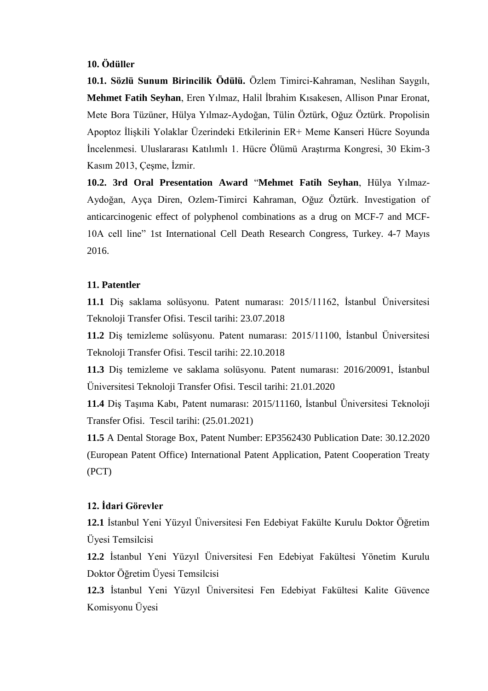### **10. Ödüller**

**10.1. Sözlü Sunum Birincilik Ödülü.** Özlem Timirci-Kahraman, Neslihan Saygılı, **Mehmet Fatih Seyhan**, Eren Yılmaz, Halil İbrahim Kısakesen, Allison Pınar Eronat, Mete Bora Tüzüner, Hülya Yılmaz-Aydoğan, Tülin Öztürk, Oğuz Öztürk. Propolisin Apoptoz İlişkili Yolaklar Üzerindeki Etkilerinin ER+ Meme Kanseri Hücre Soyunda İncelenmesi. Uluslararası Katılımlı 1. Hücre Ölümü Araştırma Kongresi, 30 Ekim-3 Kasım 2013, Çeşme, İzmir.

**10.2. 3rd Oral Presentation Award** "**Mehmet Fatih Seyhan**, Hülya Yılmaz-Aydoğan, Ayça Diren, Ozlem-Timirci Kahraman, Oğuz Öztürk. Investigation of anticarcinogenic effect of polyphenol combinations as a drug on MCF-7 and MCF-10A cell line" 1st International Cell Death Research Congress, Turkey. 4-7 Mayıs 2016.

#### **11. Patentler**

**11.1** Dis saklama solüsyonu. Patent numarası: 2015/11162, İstanbul Üniversitesi Teknoloji Transfer Ofisi. Tescil tarihi: 23.07.2018

**11.2** Diş temizleme solüsyonu. Patent numarası: 2015/11100, İstanbul Üniversitesi Teknoloji Transfer Ofisi. Tescil tarihi: 22.10.2018

**11.3** Dis temizleme ve saklama solüsyonu. Patent numarası: 2016/20091, İstanbul Üniversitesi Teknoloji Transfer Ofisi. Tescil tarihi: 21.01.2020

**11.4** Diş Taşıma Kabı, Patent numarası: 2015/11160, İstanbul Üniversitesi Teknoloji Transfer Ofisi. Tescil tarihi: (25.01.2021)

**11.5** A Dental Storage Box, Patent Number: EP3562430 Publication Date: 30.12.2020 (European Patent Office) International Patent Application, Patent Cooperation Treaty (PCT)

#### **12. İdari Görevler**

**12.1** İstanbul Yeni Yüzyıl Üniversitesi Fen Edebiyat Fakülte Kurulu Doktor Öğretim Üyesi Temsilcisi

**12.2** İstanbul Yeni Yüzyıl Üniversitesi Fen Edebiyat Fakültesi Yönetim Kurulu Doktor Öğretim Üyesi Temsilcisi

**12.3** İstanbul Yeni Yüzyıl Üniversitesi Fen Edebiyat Fakültesi Kalite Güvence Komisyonu Üyesi